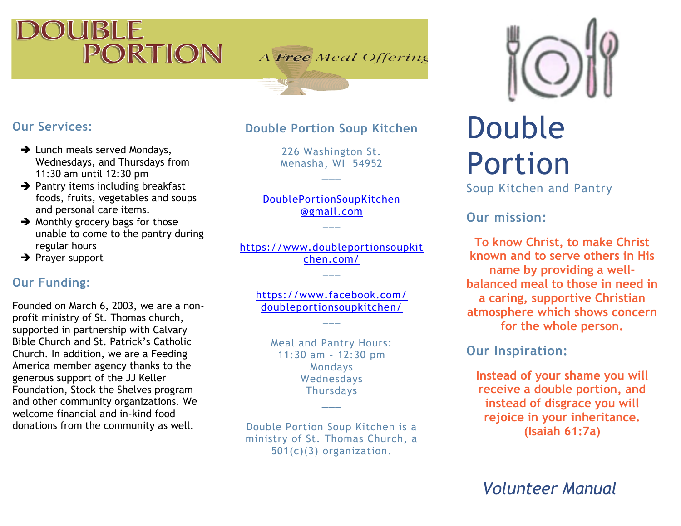# UIBILIE PORTION

A Free Meal Offering

# **Our Services:**

- $\rightarrow$  Lunch meals served Mondays, Wednesdays, and Thursdays from 11:30 am until 12:30 pm
- $\rightarrow$  Pantry items including breakfast foods, fruits, vegetables and soups and personal care items.
- **→** Monthly grocery bags for those unable to come to the pantry during regular hours
- **→** Prayer support

# **Our Funding:**

Founded on March 6, 2003, we are a nonprofit ministry of St. Thomas church, supported in partnership with Calvary Bible Church and St. Patrick's Catholic Church. In addition, we are a Feeding America member agency thanks to the generous support of the JJ Keller Foundation, Stock the Shelves program and other community organizations. We welcome financial and in-kind food donations from the community as well.

#### **Double Portion Soup Kitchen**

226 Washington St. Menasha, WI 54952

**\_\_\_**

DoublePortionSoupKitchen @gmail.com  $\overline{\phantom{a}}$ 

[https://www.doubleportionsoupkit](https://www.doubleportionsoupkitchen.com/) [chen.com/](https://www.doubleportionsoupkitchen.com/)  $\overline{\phantom{a}}$ 

<https://www.facebook.com/> doubleportionsoupkitchen/

 $\overline{\phantom{a}}$ 

Meal and Pantry Hours: 11:30 am – 12:30 pm Mondays Wednesdays **Thursdays** 

**\_\_\_**

Double Portion Soup Kitchen is a ministry of St. Thomas Church, a 501(c)(3) organization.



# Double Portion

Soup Kitchen and Pantry

**Our mission:** 

**To know Christ, to make Christ known and to serve others in His name by providing a wellbalanced meal to those in need in a caring, supportive Christian atmosphere which shows concern for the whole person.**

### **Our Inspiration:**

**Instead of your shame you will receive a double portion, and instead of disgrace you will rejoice in your inheritance. (Isaiah 61:7a)**

*Volunteer Manual*